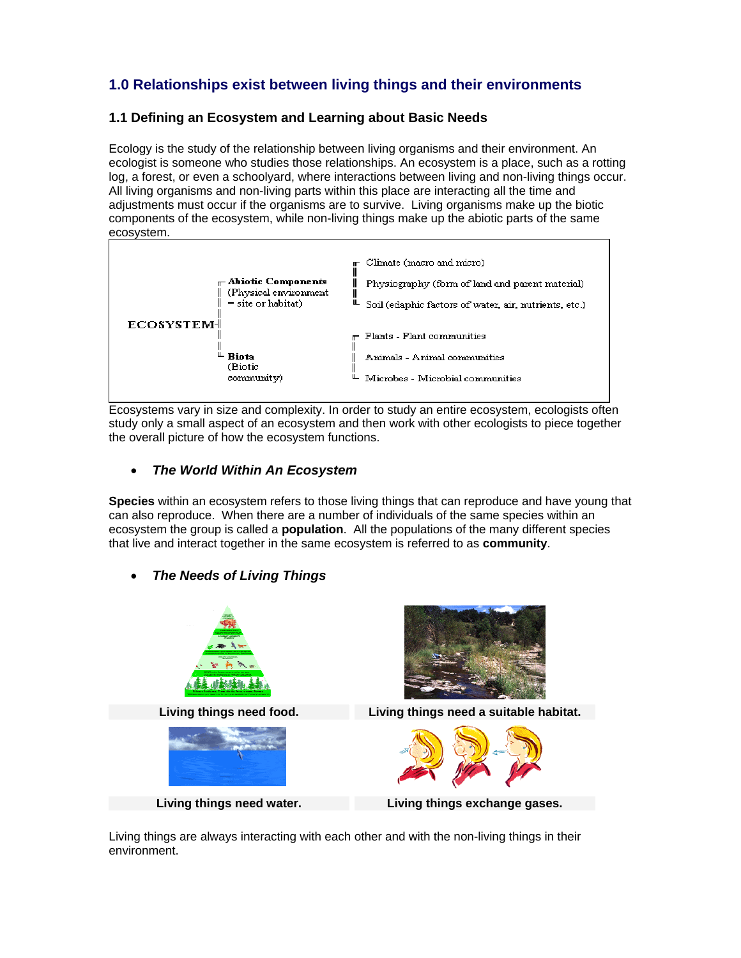# **1.0 Relationships exist between living things and their environments**

### **1.1 Defining an Ecosystem and Learning about Basic Needs**

Ecology is the study of the relationship between living organisms and their environment. An ecologist is someone who studies those relationships. An ecosystem is a place, such as a rotting log, a forest, or even a schoolyard, where interactions between living and non-living things occur. All living organisms and non-living parts within this place are interacting all the time and adjustments must occur if the organisms are to survive. Living organisms make up the biotic components of the ecosystem, while non-living things make up the abiotic parts of the same ecosystem.



Ecosystems vary in size and complexity. In order to study an entire ecosystem, ecologists often study only a small aspect of an ecosystem and then work with other ecologists to piece together the overall picture of how the ecosystem functions.

### • *The World Within An Ecosystem*

**Species** within an ecosystem refers to those living things that can reproduce and have young that can also reproduce. When there are a number of individuals of the same species within an ecosystem the group is called a **population**. All the populations of the many different species that live and interact together in the same ecosystem is referred to as **community**.

• *The Needs of Living Things*



Living things are always interacting with each other and with the non-living things in their environment.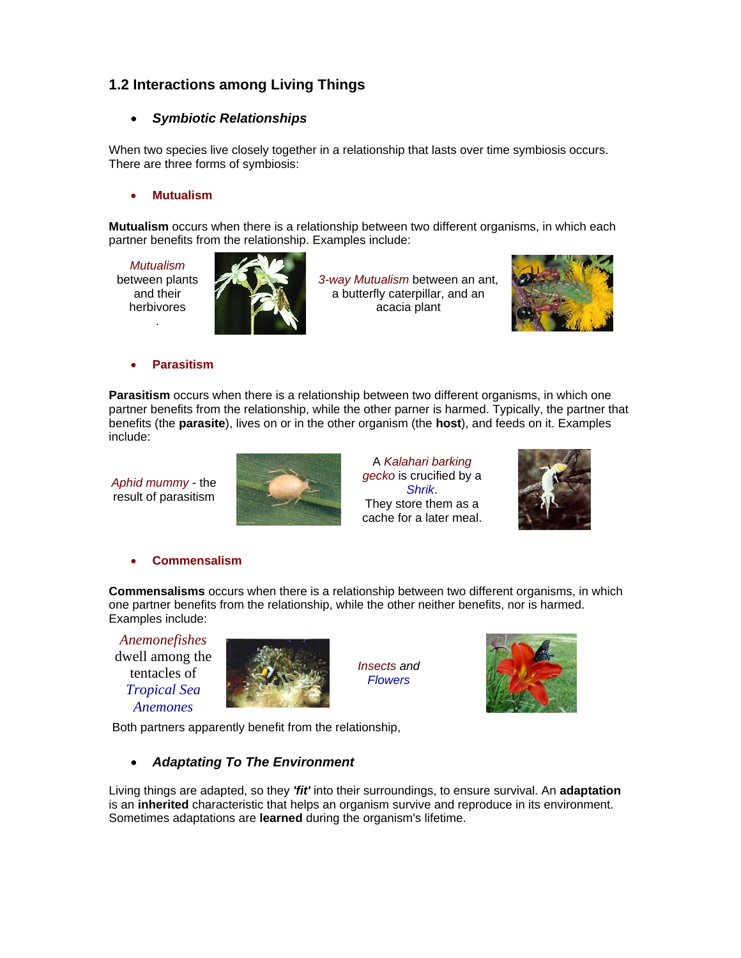# **1.2 Interactions among Living Things**

## • *Symbiotic Relationships*

When two species live closely together in a relationship that lasts over time symbiosis occurs. There are three forms of symbiosis:

### • **Mutualism**

**Mutualism** occurs when there is a relationship between two different organisms, in which each partner benefits from the relationship. Examples include:

*Mutualism* between plants and their herbivores .



*3-way Mutualism* between an ant, a butterfly caterpillar, and an acacia plant



#### • **Parasitism**

**Parasitism** occurs when there is a relationship between two different organisms, in which one partner benefits from the relationship, while the other parner is harmed. Typically, the partner that benefits (the **parasite**), lives on or in the other organism (the **host**), and feeds on it. Examples include:

*Aphid mummy* - the result of parasitism



A *Kalahari barking gecko* is crucified by a *Shrik*. They store them as a cache for a later meal.



• **Commensalism**

**Commensalisms** occurs when there is a relationship between two different organisms, in which one partner benefits from the relationship, while the other neither benefits, nor is harmed. Examples include:

*Anemonefishes*  dwell among the tentacles of *Tropical Sea Anemones*



*Insects and Flowers*



Both partners apparently benefit from the relationship,

# • *Adaptating To The Environment*

Living things are adapted, so they *'fit'* into their surroundings, to ensure survival. An **adaptation** is an **inherited** characteristic that helps an organism survive and reproduce in its environment. Sometimes adaptations are **learned** during the organism's lifetime.